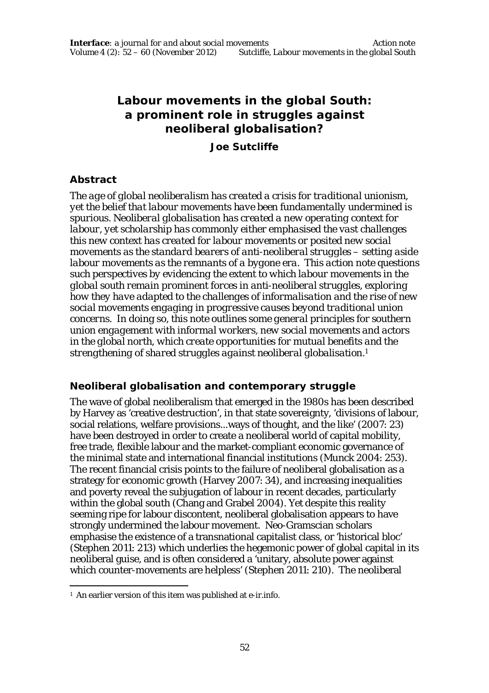# **Labour movements in the global South: a prominent role in struggles against neoliberal globalisation?**

#### **Joe Sutcliffe**

## **Abstract**

*The age of global neoliberalism has created a crisis for traditional unionism, yet the belief that labour movements have been fundamentally undermined is spurious. Neoliberal globalisation has created a new operating context for labour, yet scholarship has commonly either emphasised the vast challenges this new context has created for labour movements or posited new social movements as the standard bearers of anti-neoliberal struggles – setting aside labour movements as the remnants of a bygone era. This action note questions such perspectives by evidencing the extent to which labour movements in the global south remain prominent forces in anti-neoliberal struggles, exploring how they have adapted to the challenges of informalisation and the rise of new social movements engaging in progressive causes beyond traditional union concerns. In doing so, this note outlines some general principles for southern union engagement with informal workers, new social movements and actors in the global north, which create opportunities for mutual benefits and the strengthening of shared struggles against neoliberal globalisation.<sup>1</sup>*

# **Neoliberal globalisation and contemporary struggle**

The wave of global neoliberalism that emerged in the 1980s has been described by Harvey as 'creative destruction', in that state sovereignty, 'divisions of labour, social relations, welfare provisions...ways of thought, and the like' (2007: 23) have been destroyed in order to create a neoliberal world of capital mobility, free trade, flexible labour and the market-compliant economic governance of the minimal state and international financial institutions (Munck 2004: 253). The recent financial crisis points to the failure of neoliberal globalisation as a strategy for economic growth (Harvey 2007: 34), and increasing inequalities and poverty reveal the subjugation of labour in recent decades, particularly within the global south (Chang and Grabel 2004). Yet despite this reality seeming ripe for labour discontent, neoliberal globalisation appears to have strongly undermined the labour movement. Neo-Gramscian scholars emphasise the existence of a transnational capitalist class, or 'historical bloc' (Stephen 2011: 213) which underlies the hegemonic power of global capital in its neoliberal guise, and is often considered a 'unitary, absolute power against which counter-movements are helpless' (Stephen 2011: 210). The neoliberal

 $\overline{a}$ <sup>1</sup> An earlier version of this item was published at e-ir.info*.*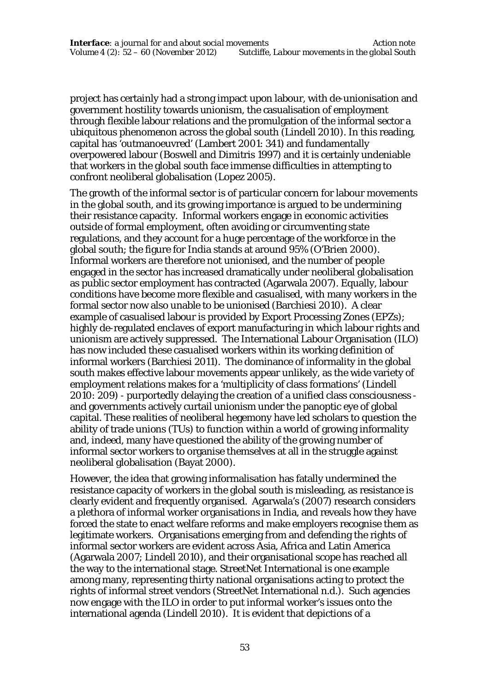project has certainly had a strong impact upon labour, with de-unionisation and government hostility towards unionism, the casualisation of employment through flexible labour relations and the promulgation of the informal sector a ubiquitous phenomenon across the global south (Lindell 2010). In this reading, capital has 'outmanoeuvred' (Lambert 2001: 341) and fundamentally overpowered labour (Boswell and Dimitris 1997) and it is certainly undeniable that workers in the global south face immense difficulties in attempting to confront neoliberal globalisation (Lopez 2005).

The growth of the informal sector is of particular concern for labour movements in the global south, and its growing importance is argued to be undermining their resistance capacity. Informal workers engage in economic activities outside of formal employment, often avoiding or circumventing state regulations, and they account for a huge percentage of the workforce in the global south; the figure for India stands at around 95% (O'Brien 2000). Informal workers are therefore not unionised, and the number of people engaged in the sector has increased dramatically under neoliberal globalisation as public sector employment has contracted (Agarwala 2007). Equally, labour conditions have become more flexible and casualised, with many workers in the formal sector now also unable to be unionised (Barchiesi 2010). A clear example of casualised labour is provided by Export Processing Zones (EPZs); highly de-regulated enclaves of export manufacturing in which labour rights and unionism are actively suppressed. The International Labour Organisation (ILO) has now included these casualised workers within its working definition of informal workers (Barchiesi 2011). The dominance of informality in the global south makes effective labour movements appear unlikely, as the wide variety of employment relations makes for a 'multiplicity of class formations' (Lindell 2010: 209) - purportedly delaying the creation of a unified class consciousness and governments actively curtail unionism under the panoptic eye of global capital. These realities of neoliberal hegemony have led scholars to question the ability of trade unions (TUs) to function within a world of growing informality and, indeed, many have questioned the ability of the growing number of informal sector workers to organise themselves at all in the struggle against neoliberal globalisation (Bayat 2000).

However, the idea that growing informalisation has fatally undermined the resistance capacity of workers in the global south is misleading, as resistance is clearly evident and frequently organised. Agarwala's (2007) research considers a plethora of informal worker organisations in India, and reveals how they have forced the state to enact welfare reforms and make employers recognise them as legitimate workers. Organisations emerging from and defending the rights of informal sector workers are evident across Asia, Africa and Latin America (Agarwala 2007; Lindell 2010), and their organisational scope has reached all the way to the international stage. StreetNet International is one example among many, representing thirty national organisations acting to protect the rights of informal street vendors (StreetNet International n.d.). Such agencies now engage with the ILO in order to put informal worker's issues onto the international agenda (Lindell 2010). It is evident that depictions of a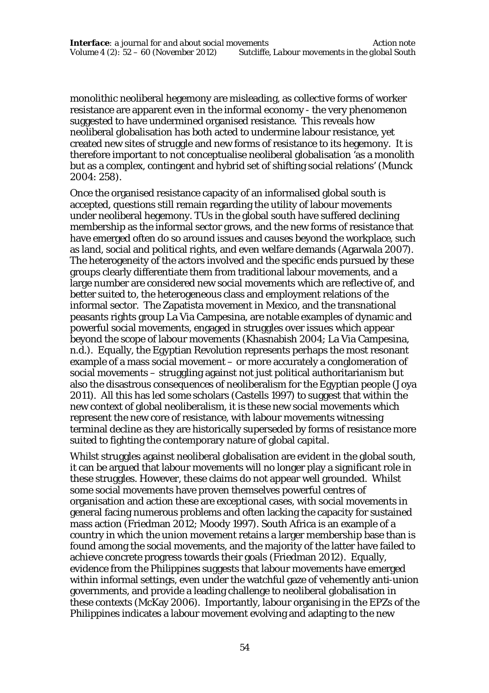monolithic neoliberal hegemony are misleading, as collective forms of worker resistance are apparent even in the informal economy - the very phenomenon suggested to have undermined organised resistance. This reveals how neoliberal globalisation has both acted to undermine labour resistance, yet created new sites of struggle and new forms of resistance to its hegemony. It is therefore important to not conceptualise neoliberal globalisation 'as a monolith but as a complex, contingent and hybrid set of shifting social relations' (Munck 2004: 258).

Once the organised resistance capacity of an informalised global south is accepted, questions still remain regarding the utility of labour movements under neoliberal hegemony. TUs in the global south have suffered declining membership as the informal sector grows, and the new forms of resistance that have emerged often do so around issues and causes beyond the workplace, such as land, social and political rights, and even welfare demands (Agarwala 2007). The heterogeneity of the actors involved and the specific ends pursued by these groups clearly differentiate them from traditional labour movements, and a large number are considered new social movements which are reflective of, and better suited to, the heterogeneous class and employment relations of the informal sector. The Zapatista movement in Mexico, and the transnational peasants rights group La Via Campesina, are notable examples of dynamic and powerful social movements, engaged in struggles over issues which appear beyond the scope of labour movements (Khasnabish 2004; La Via Campesina, n.d.). Equally, the Egyptian Revolution represents perhaps the most resonant example of a mass social movement – or more accurately a conglomeration of social movements – struggling against not just political authoritarianism but also the disastrous consequences of neoliberalism for the Egyptian people (Joya 2011). All this has led some scholars (Castells 1997) to suggest that within the new context of global neoliberalism, it is these new social movements which represent the new core of resistance, with labour movements witnessing terminal decline as they are historically superseded by forms of resistance more suited to fighting the contemporary nature of global capital.

Whilst struggles against neoliberal globalisation are evident in the global south, it can be argued that labour movements will no longer play a significant role in these struggles. However, these claims do not appear well grounded. Whilst some social movements have proven themselves powerful centres of organisation and action these are exceptional cases, with social movements in general facing numerous problems and often lacking the capacity for sustained mass action (Friedman 2012; Moody 1997). South Africa is an example of a country in which the union movement retains a larger membership base than is found among the social movements, and the majority of the latter have failed to achieve concrete progress towards their goals (Friedman 2012). Equally, evidence from the Philippines suggests that labour movements have emerged within informal settings, even under the watchful gaze of vehemently anti-union governments, and provide a leading challenge to neoliberal globalisation in these contexts (McKay 2006). Importantly, labour organising in the EPZs of the Philippines indicates a labour movement evolving and adapting to the new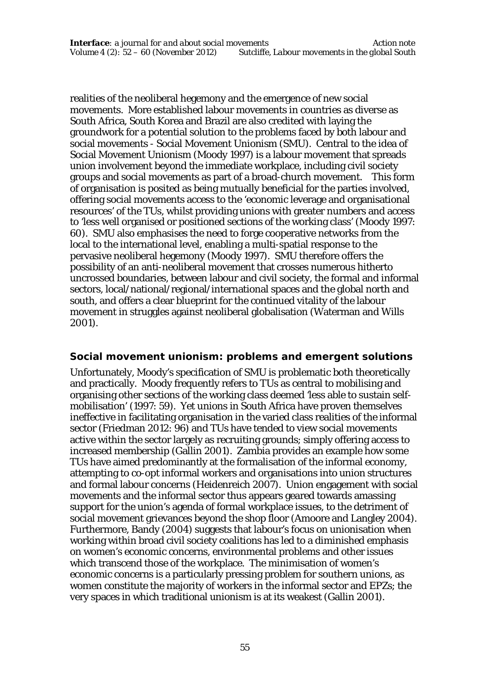realities of the neoliberal hegemony and the emergence of new social movements. More established labour movements in countries as diverse as South Africa, South Korea and Brazil are also credited with laying the groundwork for a potential solution to the problems faced by both labour and social movements - Social Movement Unionism (SMU). Central to the idea of Social Movement Unionism (Moody 1997) is a labour movement that spreads union involvement beyond the immediate workplace, including civil society groups and social movements as part of a broad-church movement. This form of organisation is posited as being mutually beneficial for the parties involved, offering social movements access to the 'economic leverage and organisational resources' of the TUs, whilst providing unions with greater numbers and access to 'less well organised or positioned sections of the working class' (Moody 1997: 60). SMU also emphasises the need to forge cooperative networks from the local to the international level, enabling a multi-spatial response to the pervasive neoliberal hegemony (Moody 1997). SMU therefore offers the possibility of an anti-neoliberal movement that crosses numerous hitherto uncrossed boundaries, between labour and civil society, the formal and informal sectors, local/national/regional/international spaces and the global north and south, and offers a clear blueprint for the continued vitality of the labour movement in struggles against neoliberal globalisation (Waterman and Wills 2001).

#### **Social movement unionism: problems and emergent solutions**

Unfortunately, Moody's specification of SMU is problematic both theoretically and practically. Moody frequently refers to TUs as central to mobilising and organising other sections of the working class deemed 'less able to sustain selfmobilisation' (1997: 59). Yet unions in South Africa have proven themselves ineffective in facilitating organisation in the varied class realities of the informal sector (Friedman 2012: 96) and TUs have tended to view social movements active within the sector largely as recruiting grounds; simply offering access to increased membership (Gallin 2001). Zambia provides an example how some TUs have aimed predominantly at the formalisation of the informal economy, attempting to co-opt informal workers and organisations into union structures and formal labour concerns (Heidenreich 2007). Union engagement with social movements and the informal sector thus appears geared towards amassing support for the union's agenda of formal workplace issues, to the detriment of social movement grievances beyond the shop floor (Amoore and Langley 2004). Furthermore, Bandy (2004) suggests that labour's focus on unionisation when working within broad civil society coalitions has led to a diminished emphasis on women's economic concerns, environmental problems and other issues which transcend those of the workplace. The minimisation of women's economic concerns is a particularly pressing problem for southern unions, as women constitute the majority of workers in the informal sector and EPZs; the very spaces in which traditional unionism is at its weakest (Gallin 2001).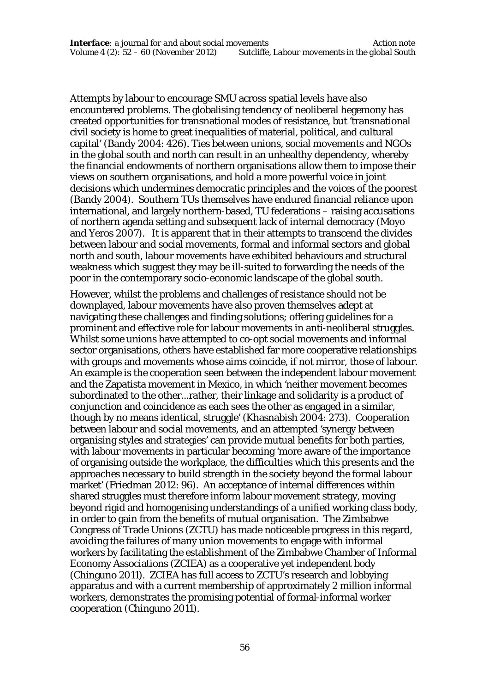Attempts by labour to encourage SMU across spatial levels have also encountered problems. The globalising tendency of neoliberal hegemony has created opportunities for transnational modes of resistance, but 'transnational civil society is home to great inequalities of material, political, and cultural capital' (Bandy 2004: 426). Ties between unions, social movements and NGOs in the global south and north can result in an unhealthy dependency, whereby the financial endowments of northern organisations allow them to impose their views on southern organisations, and hold a more powerful voice in joint decisions which undermines democratic principles and the voices of the poorest (Bandy 2004). Southern TUs themselves have endured financial reliance upon international, and largely northern-based, TU federations – raising accusations of northern agenda setting and subsequent lack of internal democracy (Moyo and Yeros 2007). It is apparent that in their attempts to transcend the divides between labour and social movements, formal and informal sectors and global north and south, labour movements have exhibited behaviours and structural weakness which suggest they may be ill-suited to forwarding the needs of the poor in the contemporary socio-economic landscape of the global south.

However, whilst the problems and challenges of resistance should not be downplayed, labour movements have also proven themselves adept at navigating these challenges and finding solutions; offering guidelines for a prominent and effective role for labour movements in anti-neoliberal struggles. Whilst some unions have attempted to co-opt social movements and informal sector organisations, others have established far more cooperative relationships with groups and movements whose aims coincide, if not mirror, those of labour. An example is the cooperation seen between the independent labour movement and the Zapatista movement in Mexico, in which 'neither movement becomes subordinated to the other...rather, their linkage and solidarity is a product of conjunction and coincidence as each sees the other as engaged in a similar, though by no means identical, struggle' (Khasnabish 2004: 273). Cooperation between labour and social movements, and an attempted 'synergy between organising styles and strategies' can provide mutual benefits for both parties, with labour movements in particular becoming 'more aware of the importance of organising outside the workplace, the difficulties which this presents and the approaches necessary to build strength in the society beyond the formal labour market' (Friedman 2012: 96). An acceptance of internal differences within shared struggles must therefore inform labour movement strategy, moving beyond rigid and homogenising understandings of a unified working class body, in order to gain from the benefits of mutual organisation. The Zimbabwe Congress of Trade Unions (ZCTU) has made noticeable progress in this regard, avoiding the failures of many union movements to engage with informal workers by facilitating the establishment of the Zimbabwe Chamber of Informal Economy Associations (ZCIEA) as a cooperative yet independent body (Chinguno 2011). ZCIEA has full access to ZCTU's research and lobbying apparatus and with a current membership of approximately 2 million informal workers, demonstrates the promising potential of formal-informal worker cooperation (Chinguno 2011).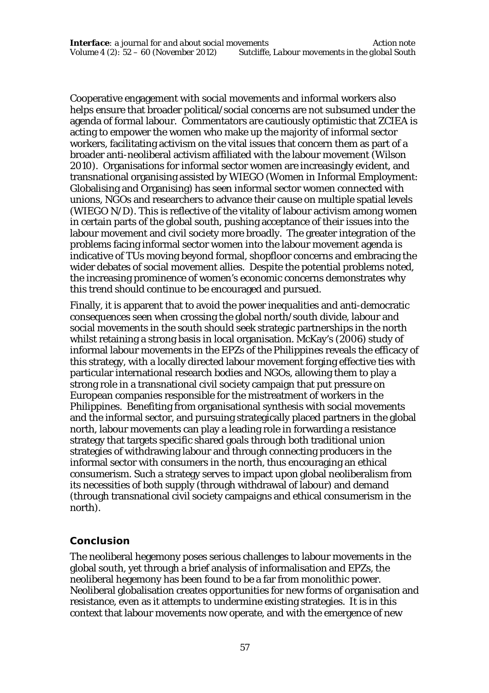Cooperative engagement with social movements and informal workers also helps ensure that broader political/social concerns are not subsumed under the agenda of formal labour. Commentators are cautiously optimistic that ZCIEA is acting to empower the women who make up the majority of informal sector workers, facilitating activism on the vital issues that concern them as part of a broader anti-neoliberal activism affiliated with the labour movement (Wilson 2010). Organisations for informal sector women are increasingly evident, and transnational organising assisted by WIEGO (Women in Informal Employment: Globalising and Organising) has seen informal sector women connected with unions, NGOs and researchers to advance their cause on multiple spatial levels (WIEGO N/D). This is reflective of the vitality of labour activism among women in certain parts of the global south, pushing acceptance of their issues into the labour movement and civil society more broadly. The greater integration of the problems facing informal sector women into the labour movement agenda is indicative of TUs moving beyond formal, shopfloor concerns and embracing the wider debates of social movement allies. Despite the potential problems noted, the increasing prominence of women's economic concerns demonstrates why this trend should continue to be encouraged and pursued.

Finally, it is apparent that to avoid the power inequalities and anti-democratic consequences seen when crossing the global north/south divide, labour and social movements in the south should seek strategic partnerships in the north whilst retaining a strong basis in local organisation. McKay's (2006) study of informal labour movements in the EPZs of the Philippines reveals the efficacy of this strategy, with a locally directed labour movement forging effective ties with particular international research bodies and NGOs, allowing them to play a strong role in a transnational civil society campaign that put pressure on European companies responsible for the mistreatment of workers in the Philippines. Benefiting from organisational synthesis with social movements and the informal sector, and pursuing strategically placed partners in the global north, labour movements can play a leading role in forwarding a resistance strategy that targets specific shared goals through both traditional union strategies of withdrawing labour and through connecting producers in the informal sector with consumers in the north, thus encouraging an ethical consumerism. Such a strategy serves to impact upon global neoliberalism from its necessities of both supply (through withdrawal of labour) and demand (through transnational civil society campaigns and ethical consumerism in the north).

#### **Conclusion**

The neoliberal hegemony poses serious challenges to labour movements in the global south, yet through a brief analysis of informalisation and EPZs, the neoliberal hegemony has been found to be a far from monolithic power. Neoliberal globalisation creates opportunities for new forms of organisation and resistance, even as it attempts to undermine existing strategies. It is in this context that labour movements now operate, and with the emergence of new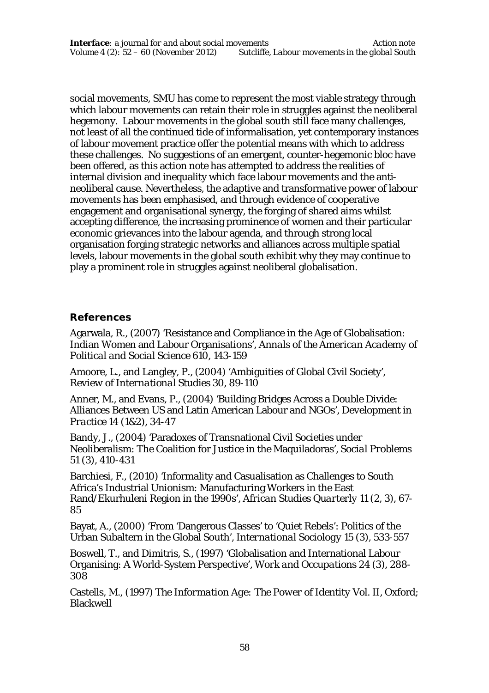social movements, SMU has come to represent the most viable strategy through which labour movements can retain their role in struggles against the neoliberal hegemony. Labour movements in the global south still face many challenges, not least of all the continued tide of informalisation, yet contemporary instances of labour movement practice offer the potential means with which to address these challenges. No suggestions of an emergent, counter-hegemonic bloc have been offered, as this action note has attempted to address the realities of internal division and inequality which face labour movements and the antineoliberal cause. Nevertheless, the adaptive and transformative power of labour movements has been emphasised, and through evidence of cooperative engagement and organisational synergy, the forging of shared aims whilst accepting difference, the increasing prominence of women and their particular economic grievances into the labour agenda, and through strong local organisation forging strategic networks and alliances across multiple spatial levels, labour movements in the global south exhibit why they may continue to play a prominent role in struggles against neoliberal globalisation.

#### **References**

Agarwala, R., (2007) 'Resistance and Compliance in the Age of Globalisation: Indian Women and Labour Organisations', *Annals of the American Academy of Political and Social Science* 610, 143-159

Amoore, L., and Langley, P., (2004) 'Ambiguities of Global Civil Society', *Review of International Studies* 30, 89-110

Anner, M., and Evans, P., (2004) 'Building Bridges Across a Double Divide: Alliances Between US and Latin American Labour and NGOs', *Development in Practice* 14 (1&2), 34-47

Bandy, J., (2004) 'Paradoxes of Transnational Civil Societies under Neoliberalism: The Coalition for Justice in the Maquiladoras', *Social Problems*  51 (3), 410-431

Barchiesi, F., (2010) 'Informality and Casualisation as Challenges to South Africa's Industrial Unionism: Manufacturing Workers in the East Rand/Ekurhuleni Region in the 1990s', *African Studies Quarterly* 11 (2, 3), 67- 85

Bayat, A., (2000) 'From 'Dangerous Classes' to 'Quiet Rebels': Politics of the Urban Subaltern in the Global South', *International Sociology* 15 (3), 533-557

Boswell, T., and Dimitris, S., (1997) 'Globalisation and International Labour Organising: A World-System Perspective', *Work and Occupations* 24 (3), 288- 308

Castells, M., (1997) *The Information Age: The Power of Identity Vol. II,* Oxford; **Blackwell**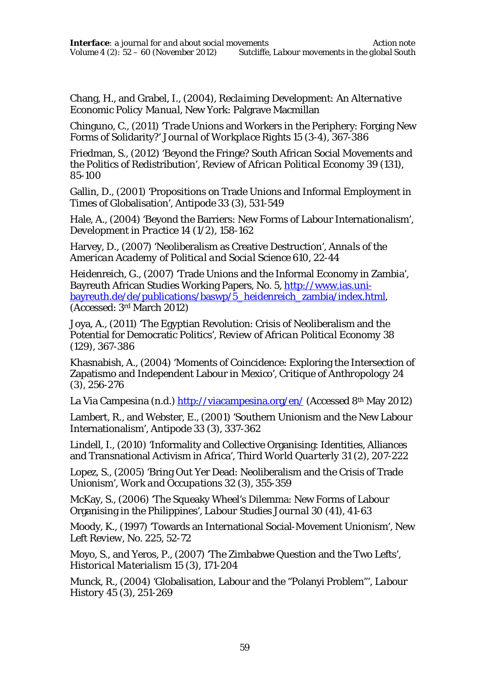Chang, H., and Grabel, I., (2004), *Reclaiming Development: An Alternative Economic Policy Manual,* New York: Palgrave Macmillan

Chinguno, C., (2011) 'Trade Unions and Workers in the Periphery: Forging New Forms of Solidarity?' *Journal of Workplace Rights* 15 (3-4), 367-386

Friedman, S., (2012) 'Beyond the Fringe? South African Social Movements and the Politics of Redistribution', *Review of African Political Economy* 39 (131), 85-100

Gallin, D., (2001) 'Propositions on Trade Unions and Informal Employment in Times of Globalisation', *Antipode* 33 (3), 531-549

Hale, A., (2004) 'Beyond the Barriers: New Forms of Labour Internationalism', *Development in Practice* 14 (1/2), 158-162

Harvey, D., (2007) 'Neoliberalism as Creative Destruction', *Annals of the American Academy of Political and Social Science* 610, 22-44

Heidenreich, G., (2007) 'Trade Unions and the Informal Economy in Zambia', Bayreuth African Studies Working Papers, No. 5, http://www.ias.unibayreuth.de/de/publications/baswp/5\_heidenreich\_zambia/index.html, (Accessed: 3rd March 2012)

Joya, A., (2011) 'The Egyptian Revolution: Crisis of Neoliberalism and the Potential for Democratic Politics', *Review of African Political Economy* 38 (129), 367-386

Khasnabish, A., (2004) 'Moments of Coincidence: Exploring the Intersection of Zapatismo and Independent Labour in Mexico', *Critique of Anthropology* 24 (3), 256-276

La Via Campesina (n.d.) http://viacampesina.org/en/ (Accessed 8<sup>th</sup> May 2012)

Lambert, R., and Webster, E., (2001) 'Southern Unionism and the New Labour Internationalism', *Antipode* 33 (3), 337-362

Lindell, I., (2010) 'Informality and Collective Organising: Identities, Alliances and Transnational Activism in Africa', *Third World Quarterly* 31 (2), 207-222

Lopez, S., (2005) 'Bring Out Yer Dead: Neoliberalism and the Crisis of Trade Unionism', *Work and Occupations* 32 (3), 355-359

McKay, S., (2006) 'The Squeaky Wheel's Dilemma: New Forms of Labour Organising in the Philippines', *Labour Studies Journal* 30 (41), 41-63

Moody, K., (1997) 'Towards an International Social-Movement Unionism', *New Left Review,* No. 225, 52-72

Moyo, S., and Yeros, P., (2007) 'The Zimbabwe Question and the Two Lefts', *Historical Materialism* 15 (3), 171-204

Munck, R., (2004) 'Globalisation, Labour and the "Polanyi Problem"', *Labour History* 45 (3), 251-269